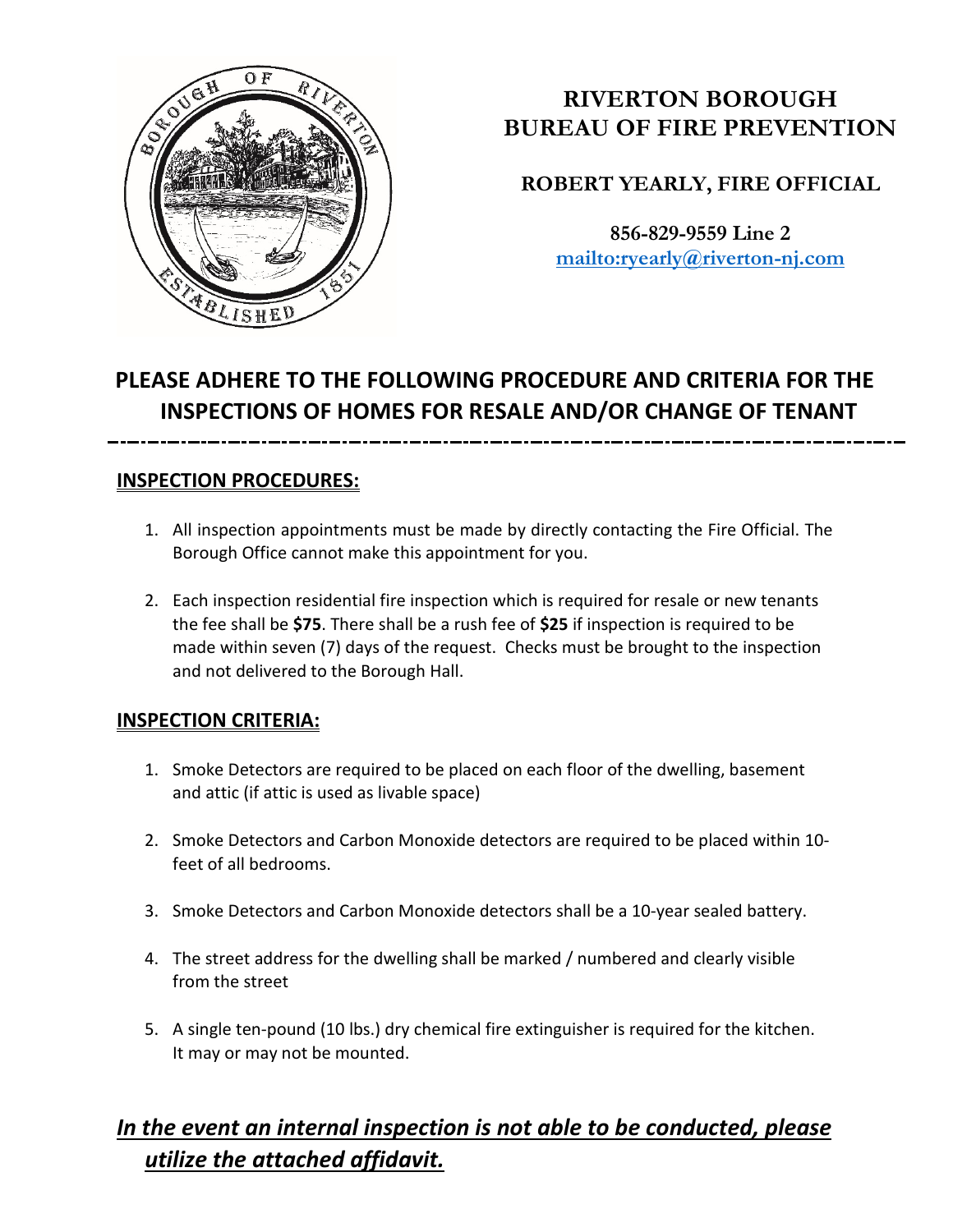

### **RIVERTON BOROUGH BUREAU OF FIRE PREVENTION**

### **ROBERT YEARLY, FIRE OFFICIAL**

**856-829-9559 Line 2 <mailto:ryearly@riverton-nj.com>**

## **PLEASE ADHERE TO THE FOLLOWING PROCEDURE AND CRITERIA FOR THE INSPECTIONS OF HOMES FOR RESALE AND/OR CHANGE OF TENANT**

#### **INSPECTION PROCEDURES:**

- 1. All inspection appointments must be made by directly contacting the Fire Official. The Borough Office cannot make this appointment for you.
- 2. Each inspection residential fire inspection which is required for resale or new tenants the fee shall be **\$75**. There shall be a rush fee of **\$25** if inspection is required to be made within seven (7) days of the request. Checks must be brought to the inspection and not delivered to the Borough Hall.

#### **INSPECTION CRITERIA:**

- 1. Smoke Detectors are required to be placed on each floor of the dwelling, basement and attic (if attic is used as livable space)
- 2. Smoke Detectors and Carbon Monoxide detectors are required to be placed within 10 feet of all bedrooms.
- 3. Smoke Detectors and Carbon Monoxide detectors shall be a 10-year sealed battery.
- 4. The street address for the dwelling shall be marked / numbered and clearly visible from the street
- 5. A single ten-pound (10 lbs.) dry chemical fire extinguisher is required for the kitchen. It may or may not be mounted.

# *In the event an internal inspection is not able to be conducted, please utilize the attached affidavit.*